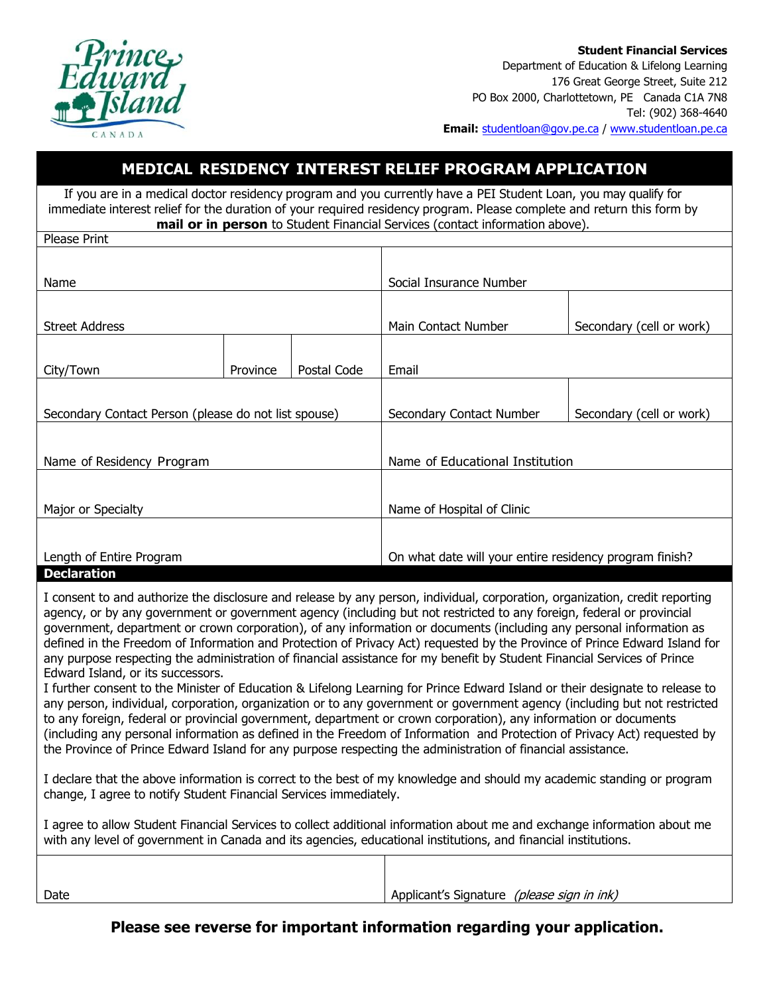

**Student Financial Services**  Department of Education & Lifelong Learning 176 Great George Street, Suite 212 PO Box 2000, Charlottetown, PE Canada C1A 7N8 Tel: (902) 368-4640 **Email:** studentloan@gov.pe.ca / www.studentloan.pe.ca

## **MEDICAL RESIDENCY INTEREST RELIEF PROGRAM APPLICATION**

If you are in a medical doctor residency program and you currently have a PEI Student Loan, you may qualify for immediate interest relief for the duration of your required residency program. Please complete and return this form by **mail or in person** to Student Financial Services (contact information above).

| Please Print                                         |          |             |                                                         |                          |  |
|------------------------------------------------------|----------|-------------|---------------------------------------------------------|--------------------------|--|
|                                                      |          |             |                                                         |                          |  |
| Name                                                 |          |             | Social Insurance Number                                 |                          |  |
|                                                      |          |             |                                                         |                          |  |
| <b>Street Address</b>                                |          |             | Main Contact Number                                     | Secondary (cell or work) |  |
|                                                      |          |             |                                                         |                          |  |
| City/Town                                            | Province | Postal Code | Email                                                   |                          |  |
|                                                      |          |             |                                                         |                          |  |
| Secondary Contact Person (please do not list spouse) |          |             | Secondary Contact Number                                | Secondary (cell or work) |  |
|                                                      |          |             |                                                         |                          |  |
| Name of Residency Program                            |          |             | Name of Educational Institution                         |                          |  |
|                                                      |          |             |                                                         |                          |  |
|                                                      |          |             |                                                         |                          |  |
| Major or Specialty                                   |          |             | Name of Hospital of Clinic                              |                          |  |
|                                                      |          |             |                                                         |                          |  |
| Length of Entire Program                             |          |             | On what date will your entire residency program finish? |                          |  |
| <b>Declaration</b>                                   |          |             |                                                         |                          |  |

I consent to and authorize the disclosure and release by any person, individual, corporation, organization, credit reporting agency, or by any government or government agency (including but not restricted to any foreign, federal or provincial government, department or crown corporation), of any information or documents (including any personal information as defined in the Freedom of Information and Protection of Privacy Act) requested by the Province of Prince Edward Island for any purpose respecting the administration of financial assistance for my benefit by Student Financial Services of Prince Edward Island, or its successors.

I further consent to the Minister of Education & Lifelong Learning for Prince Edward Island or their designate to release to any person, individual, corporation, organization or to any government or government agency (including but not restricted to any foreign, federal or provincial government, department or crown corporation), any information or documents (including any personal information as defined in the Freedom of Information and Protection of Privacy Act) requested by the Province of Prince Edward Island for any purpose respecting the administration of financial assistance.

I declare that the above information is correct to the best of my knowledge and should my academic standing or program change, I agree to notify Student Financial Services immediately.

I agree to allow Student Financial Services to collect additional information about me and exchange information about me with any level of government in Canada and its agencies, educational institutions, and financial institutions.

| Date | (please sign in ink)<br>Applicant's Signature |
|------|-----------------------------------------------|

**Please see reverse for important information regarding your application.**